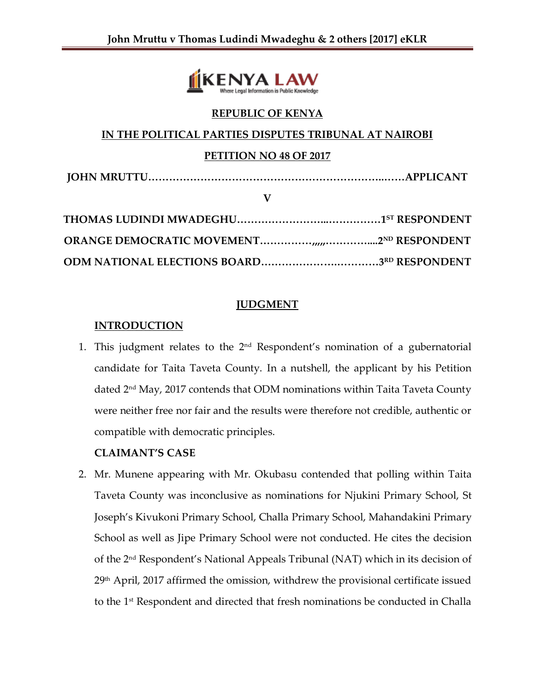

### **REPUBLIC OF KENYA**

### **IN THE POLITICAL PARTIES DISPUTES TRIBUNAL AT NAIROBI**

#### **PETITION NO 48 OF 2017**

**JOHN MRUTTU…………………………………………………………..……APPLICANT**

**V**

### **JUDGMENT**

### **INTRODUCTION**

1. This judgment relates to the  $2<sup>nd</sup>$  Respondent's nomination of a gubernatorial candidate for Taita Taveta County. In a nutshell, the applicant by his Petition dated 2nd May, 2017 contends that ODM nominations within Taita Taveta County were neither free nor fair and the results were therefore not credible, authentic or compatible with democratic principles.

## **CLAIMANT'S CASE**

2. Mr. Munene appearing with Mr. Okubasu contended that polling within Taita Taveta County was inconclusive as nominations for Njukini Primary School, St Joseph's Kivukoni Primary School, Challa Primary School, Mahandakini Primary School as well as Jipe Primary School were not conducted. He cites the decision of the 2nd Respondent's National Appeals Tribunal (NAT) which in its decision of 29<sup>th</sup> April, 2017 affirmed the omission, withdrew the provisional certificate issued to the 1st Respondent and directed that fresh nominations be conducted in Challa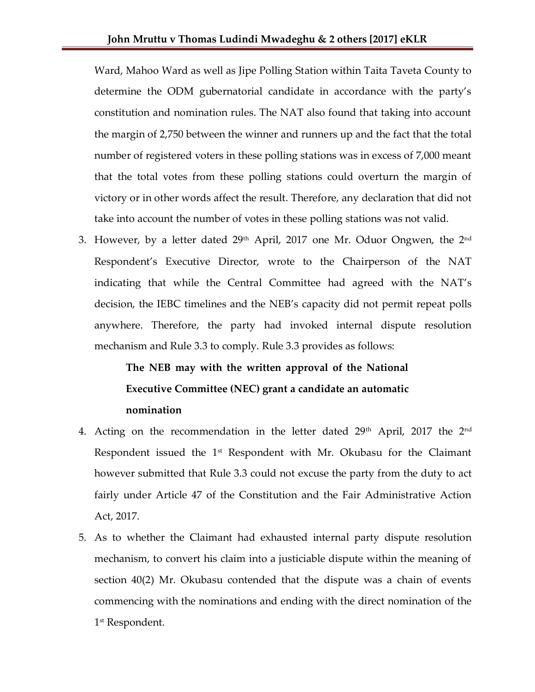Ward, Mahoo Ward as well as Jipe Polling Station within Taita Taveta County to determine the ODM gubernatorial candidate in accordance with the party's constitution and nomination rules. The NAT also found that taking into account the margin of 2,750 between the winner and runners up and the fact that the total number of registered voters in these polling stations was in excess of 7,000 meant that the total votes from these polling stations could overturn the margin of victory or in other words affect the result. Therefore, any declaration that did not take into account the number of votes in these polling stations was not valid.

3. However, by a letter dated  $29<sup>th</sup>$  April, 2017 one Mr. Oduor Ongwen, the  $2<sup>nd</sup>$ Respondent's Executive Director, wrote to the Chairperson of the NAT indicating that while the Central Committee had agreed with the NAT's decision, the IEBC timelines and the NEB's capacity did not permit repeat polls anywhere. Therefore, the party had invoked internal dispute resolution mechanism and Rule 3.3 to comply. Rule 3.3 provides as follows:

# **The NEB may with the written approval of the National Executive Committee (NEC) grant a candidate an automatic nomination**

- 4. Acting on the recommendation in the letter dated  $29<sup>th</sup>$  April, 2017 the  $2<sup>nd</sup>$ Respondent issued the 1<sup>st</sup> Respondent with Mr. Okubasu for the Claimant however submitted that Rule 3.3 could not excuse the party from the duty to act fairly under Article 47 of the Constitution and the Fair Administrative Action Act, 2017.
- 5. As to whether the Claimant had exhausted internal party dispute resolution mechanism, to convert his claim into a justiciable dispute within the meaning of section 40(2) Mr. Okubasu contended that the dispute was a chain of events commencing with the nominations and ending with the direct nomination of the 1 st Respondent.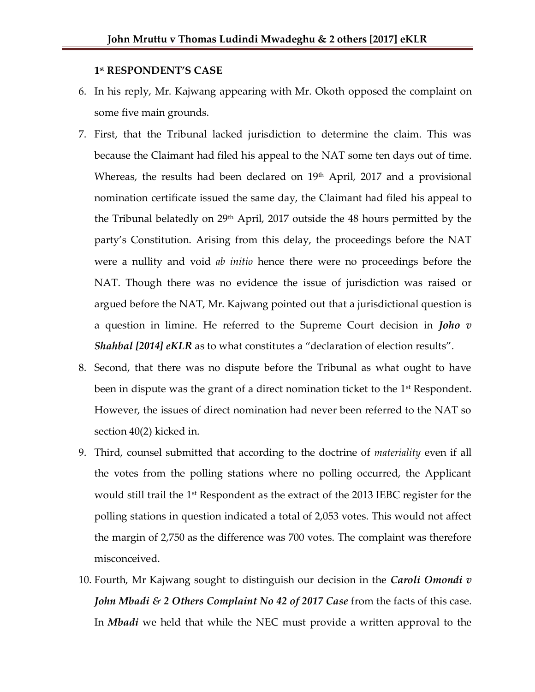#### **1 st RESPONDENT'S CASE**

- 6. In his reply, Mr. Kajwang appearing with Mr. Okoth opposed the complaint on some five main grounds.
- 7. First, that the Tribunal lacked jurisdiction to determine the claim. This was because the Claimant had filed his appeal to the NAT some ten days out of time. Whereas, the results had been declared on  $19<sup>th</sup>$  April, 2017 and a provisional nomination certificate issued the same day, the Claimant had filed his appeal to the Tribunal belatedly on 29<sup>th</sup> April, 2017 outside the 48 hours permitted by the party's Constitution. Arising from this delay, the proceedings before the NAT were a nullity and void *ab initio* hence there were no proceedings before the NAT. Though there was no evidence the issue of jurisdiction was raised or argued before the NAT, Mr. Kajwang pointed out that a jurisdictional question is a question in limine. He referred to the Supreme Court decision in *Joho v Shahbal* [2014] *eKLR* as to what constitutes a "declaration of election results".
- 8. Second, that there was no dispute before the Tribunal as what ought to have been in dispute was the grant of a direct nomination ticket to the  $1<sup>st</sup>$  Respondent. However, the issues of direct nomination had never been referred to the NAT so section 40(2) kicked in.
- 9. Third, counsel submitted that according to the doctrine of *materiality* even if all the votes from the polling stations where no polling occurred, the Applicant would still trail the  $1<sup>st</sup>$  Respondent as the extract of the 2013 IEBC register for the polling stations in question indicated a total of 2,053 votes. This would not affect the margin of 2,750 as the difference was 700 votes. The complaint was therefore misconceived.
- 10. Fourth, Mr Kajwang sought to distinguish our decision in the *Caroli Omondi v John Mbadi & 2 Others Complaint No 42 of 2017 Case from the facts of this case.* In *Mbadi* we held that while the NEC must provide a written approval to the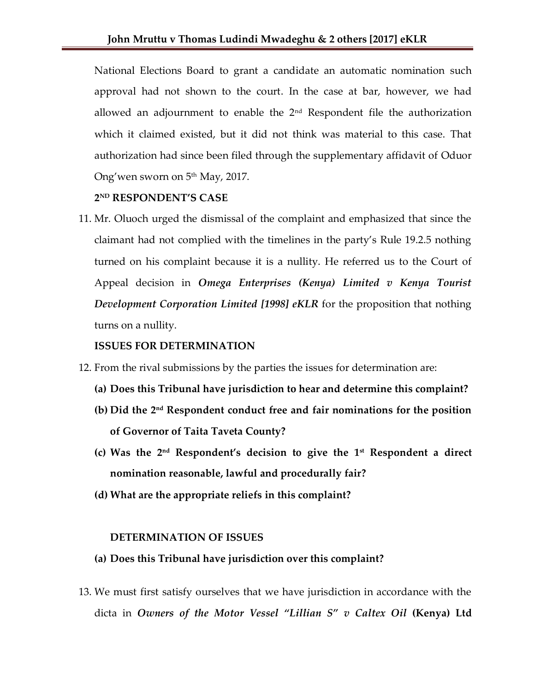National Elections Board to grant a candidate an automatic nomination such approval had not shown to the court. In the case at bar, however, we had allowed an adjournment to enable the  $2<sup>nd</sup>$  Respondent file the authorization which it claimed existed, but it did not think was material to this case. That authorization had since been filed through the supplementary affidavit of Oduor Ong'wen sworn on 5<sup>th</sup> May, 2017.

#### **2 ND RESPONDENT'S CASE**

11. Mr. Oluoch urged the dismissal of the complaint and emphasized that since the claimant had not complied with the timelines in the party's Rule 19.2.5 nothing turned on his complaint because it is a nullity. He referred us to the Court of Appeal decision in *Omega Enterprises (Kenya) Limited v Kenya Tourist Development Corporation Limited [1998] eKLR* for the proposition that nothing turns on a nullity.

#### **ISSUES FOR DETERMINATION**

- 12. From the rival submissions by the parties the issues for determination are:
	- **(a) Does this Tribunal have jurisdiction to hear and determine this complaint?**
	- **(b) Did the 2nd Respondent conduct free and fair nominations for the position of Governor of Taita Taveta County?**
	- **(c) Was the 2 nd Respondent's decision to give the 1st Respondent a direct nomination reasonable, lawful and procedurally fair?**
	- **(d) What are the appropriate reliefs in this complaint?**

#### **DETERMINATION OF ISSUES**

- **(a) Does this Tribunal have jurisdiction over this complaint?**
- 13. We must first satisfy ourselves that we have jurisdiction in accordance with the dicta in *Owners of the Motor Vessel "Lillian S" v Caltex Oil* **(Kenya) Ltd**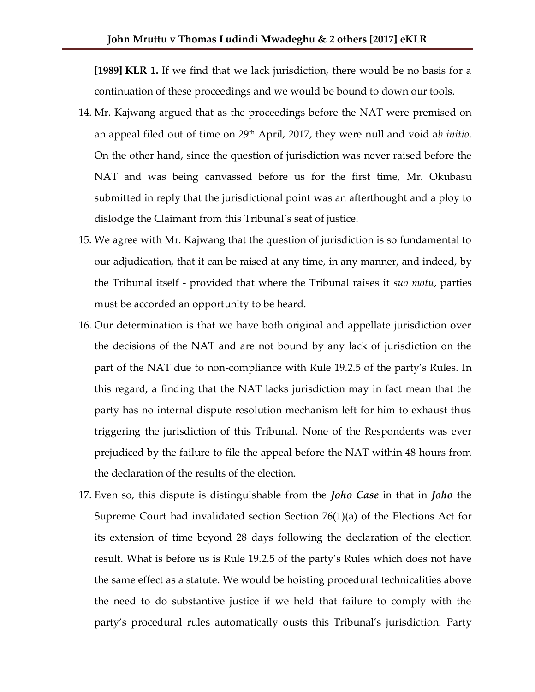**[1989] KLR 1.** If we find that we lack jurisdiction, there would be no basis for a continuation of these proceedings and we would be bound to down our tools.

- 14. Mr. Kajwang argued that as the proceedings before the NAT were premised on an appeal filed out of time on 29th April, 2017, they were null and void a*b initio*. On the other hand, since the question of jurisdiction was never raised before the NAT and was being canvassed before us for the first time, Mr. Okubasu submitted in reply that the jurisdictional point was an afterthought and a ploy to dislodge the Claimant from this Tribunal's seat of justice.
- 15. We agree with Mr. Kajwang that the question of jurisdiction is so fundamental to our adjudication, that it can be raised at any time, in any manner, and indeed, by the Tribunal itself - provided that where the Tribunal raises it *suo motu*, parties must be accorded an opportunity to be heard.
- 16. Our determination is that we have both original and appellate jurisdiction over the decisions of the NAT and are not bound by any lack of jurisdiction on the part of the NAT due to non-compliance with Rule 19.2.5 of the party's Rules. In this regard, a finding that the NAT lacks jurisdiction may in fact mean that the party has no internal dispute resolution mechanism left for him to exhaust thus triggering the jurisdiction of this Tribunal. None of the Respondents was ever prejudiced by the failure to file the appeal before the NAT within 48 hours from the declaration of the results of the election.
- 17. Even so, this dispute is distinguishable from the *Joho Case* in that in *Joho* the Supreme Court had invalidated section Section 76(1)(a) of the Elections Act for its extension of time beyond 28 days following the declaration of the election result. What is before us is Rule 19.2.5 of the party's Rules which does not have the same effect as a statute. We would be hoisting procedural technicalities above the need to do substantive justice if we held that failure to comply with the party's procedural rules automatically ousts this Tribunal's jurisdiction. Party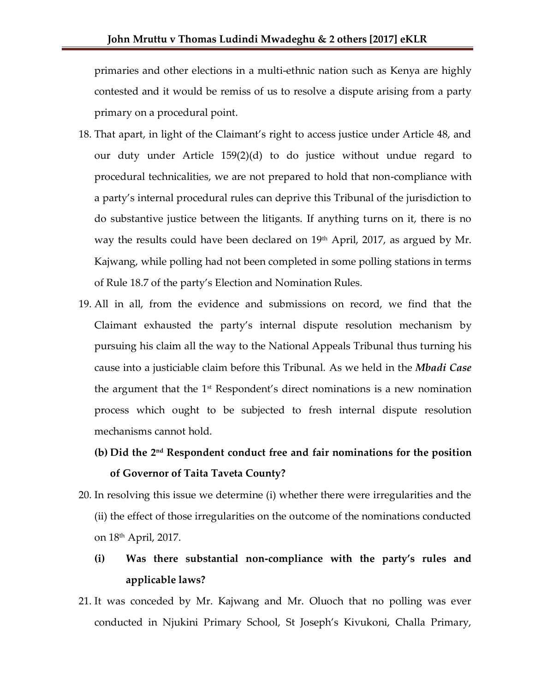primaries and other elections in a multi-ethnic nation such as Kenya are highly contested and it would be remiss of us to resolve a dispute arising from a party primary on a procedural point.

- 18. That apart, in light of the Claimant's right to access justice under Article 48, and our duty under Article 159(2)(d) to do justice without undue regard to procedural technicalities, we are not prepared to hold that non-compliance with a party's internal procedural rules can deprive this Tribunal of the jurisdiction to do substantive justice between the litigants. If anything turns on it, there is no way the results could have been declared on  $19<sup>th</sup>$  April, 2017, as argued by Mr. Kajwang, while polling had not been completed in some polling stations in terms of Rule 18.7 of the party's Election and Nomination Rules.
- 19. All in all, from the evidence and submissions on record, we find that the Claimant exhausted the party's internal dispute resolution mechanism by pursuing his claim all the way to the National Appeals Tribunal thus turning his cause into a justiciable claim before this Tribunal. As we held in the *Mbadi Case*  the argument that the 1st Respondent's direct nominations is a new nomination process which ought to be subjected to fresh internal dispute resolution mechanisms cannot hold.

# **(b) Did the 2nd Respondent conduct free and fair nominations for the position of Governor of Taita Taveta County?**

- 20. In resolving this issue we determine (i) whether there were irregularities and the (ii) the effect of those irregularities on the outcome of the nominations conducted on 18th April, 2017.
	- **(i) Was there substantial non-compliance with the party's rules and applicable laws?**
- 21. It was conceded by Mr. Kajwang and Mr. Oluoch that no polling was ever conducted in Njukini Primary School, St Joseph's Kivukoni, Challa Primary,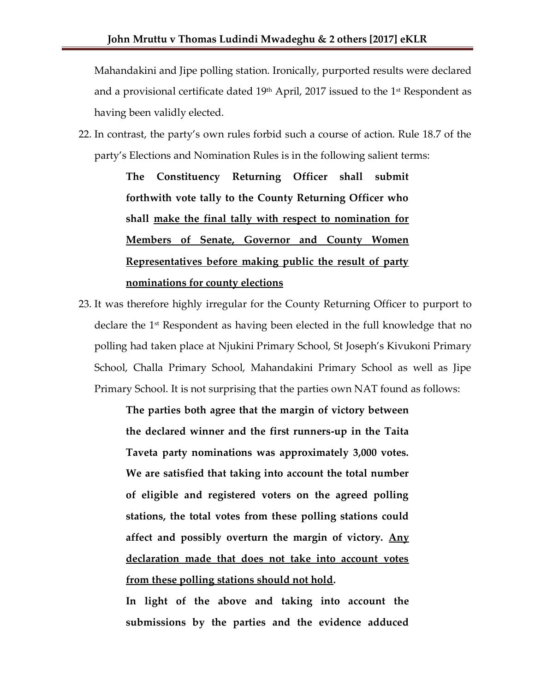Mahandakini and Jipe polling station. Ironically, purported results were declared and a provisional certificate dated  $19<sup>th</sup>$  April, 2017 issued to the  $1<sup>st</sup>$  Respondent as having been validly elected.

22. In contrast, the party's own rules forbid such a course of action. Rule 18.7 of the party's Elections and Nomination Rules is in the following salient terms:

> **The Constituency Returning Officer shall submit forthwith vote tally to the County Returning Officer who shall make the final tally with respect to nomination for Members of Senate, Governor and County Women Representatives before making public the result of party nominations for county elections**

23. It was therefore highly irregular for the County Returning Officer to purport to declare the  $1<sup>st</sup>$  Respondent as having been elected in the full knowledge that no polling had taken place at Njukini Primary School, St Joseph's Kivukoni Primary School, Challa Primary School, Mahandakini Primary School as well as Jipe Primary School. It is not surprising that the parties own NAT found as follows:

> **The parties both agree that the margin of victory between the declared winner and the first runners-up in the Taita Taveta party nominations was approximately 3,000 votes. We are satisfied that taking into account the total number of eligible and registered voters on the agreed polling stations, the total votes from these polling stations could affect and possibly overturn the margin of victory. Any declaration made that does not take into account votes from these polling stations should not hold.**

> **In light of the above and taking into account the submissions by the parties and the evidence adduced**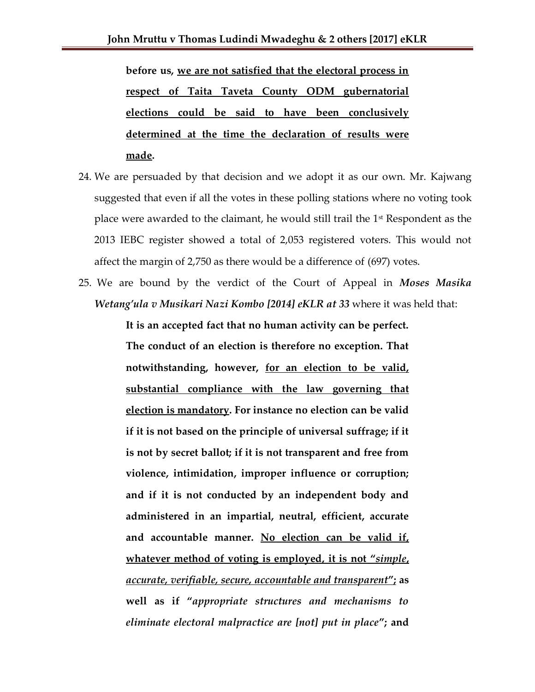**before us, we are not satisfied that the electoral process in respect of Taita Taveta County ODM gubernatorial elections could be said to have been conclusively determined at the time the declaration of results were made.**

- 24. We are persuaded by that decision and we adopt it as our own. Mr. Kajwang suggested that even if all the votes in these polling stations where no voting took place were awarded to the claimant, he would still trail the 1<sup>st</sup> Respondent as the 2013 IEBC register showed a total of 2,053 registered voters. This would not affect the margin of 2,750 as there would be a difference of (697) votes.
- 25. We are bound by the verdict of the Court of Appeal in *Moses Masika Wetang'ula v Musikari Nazi Kombo [2014] eKLR at 33* where it was held that:

**It is an accepted fact that no human activity can be perfect. The conduct of an election is therefore no exception. That notwithstanding, however, for an election to be valid, substantial compliance with the law governing that election is mandatory. For instance no election can be valid if it is not based on the principle of universal suffrage; if it is not by secret ballot; if it is not transparent and free from violence, intimidation, improper influence or corruption; and if it is not conducted by an independent body and administered in an impartial, neutral, efficient, accurate and accountable manner. No election can be valid if, whatever method of voting is employed, it is not "***simple***,**  *accurate, verifiable, secure, accountable and transparent***"; as well as if "***appropriate structures and mechanisms to eliminate electoral malpractice are [not] put in place***"; and**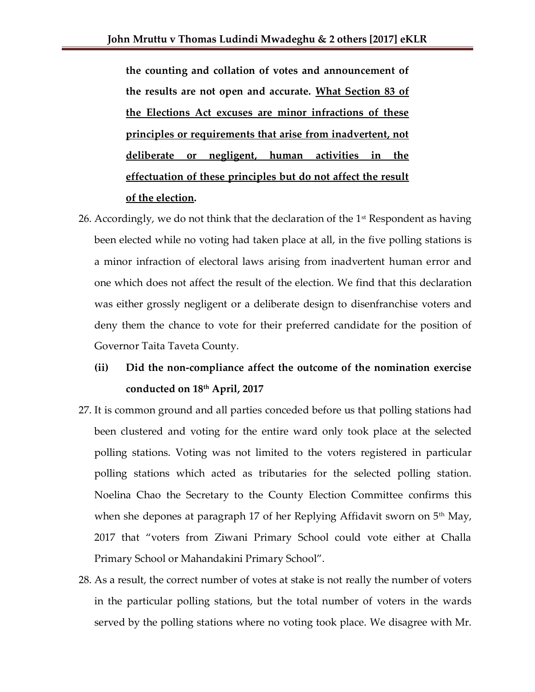**the counting and collation of votes and announcement of the results are not open and accurate. What Section 83 of the Elections Act excuses are minor infractions of these principles or requirements that arise from inadvertent, not deliberate or negligent, human activities in the effectuation of these principles but do not affect the result of the election.**

26. Accordingly, we do not think that the declaration of the  $1<sup>st</sup>$  Respondent as having been elected while no voting had taken place at all, in the five polling stations is a minor infraction of electoral laws arising from inadvertent human error and one which does not affect the result of the election. We find that this declaration was either grossly negligent or a deliberate design to disenfranchise voters and deny them the chance to vote for their preferred candidate for the position of Governor Taita Taveta County.

# **(ii) Did the non-compliance affect the outcome of the nomination exercise conducted on 18th April, 2017**

- 27. It is common ground and all parties conceded before us that polling stations had been clustered and voting for the entire ward only took place at the selected polling stations. Voting was not limited to the voters registered in particular polling stations which acted as tributaries for the selected polling station. Noelina Chao the Secretary to the County Election Committee confirms this when she depones at paragraph 17 of her Replying Affidavit sworn on  $5<sup>th</sup>$  May, 2017 that "voters from Ziwani Primary School could vote either at Challa Primary School or Mahandakini Primary School".
- 28. As a result, the correct number of votes at stake is not really the number of voters in the particular polling stations, but the total number of voters in the wards served by the polling stations where no voting took place. We disagree with Mr.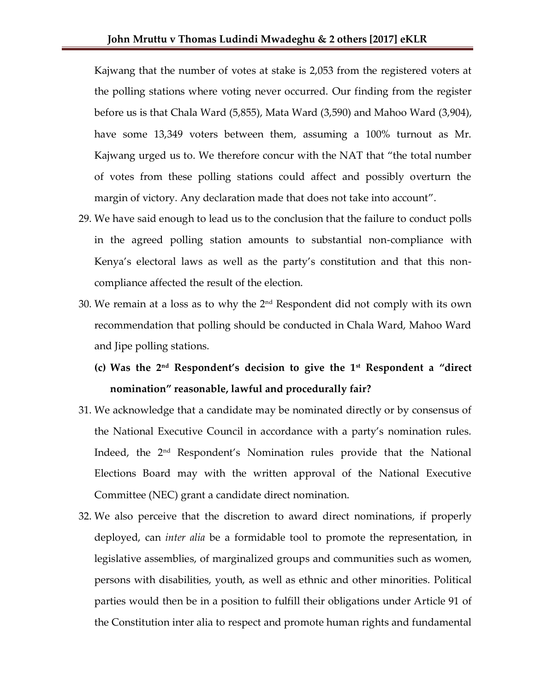Kajwang that the number of votes at stake is 2,053 from the registered voters at the polling stations where voting never occurred. Our finding from the register before us is that Chala Ward (5,855), Mata Ward (3,590) and Mahoo Ward (3,904), have some 13,349 voters between them, assuming a 100% turnout as Mr. Kajwang urged us to. We therefore concur with the NAT that "the total number of votes from these polling stations could affect and possibly overturn the margin of victory. Any declaration made that does not take into account".

- 29. We have said enough to lead us to the conclusion that the failure to conduct polls in the agreed polling station amounts to substantial non-compliance with Kenya's electoral laws as well as the party's constitution and that this noncompliance affected the result of the election.
- 30. We remain at a loss as to why the  $2<sup>nd</sup>$  Respondent did not comply with its own recommendation that polling should be conducted in Chala Ward, Mahoo Ward and Jipe polling stations.
	- **(c) Was the 2nd Respondent's decision to give the 1st Respondent a "direct nomination" reasonable, lawful and procedurally fair?**
- 31. We acknowledge that a candidate may be nominated directly or by consensus of the National Executive Council in accordance with a party's nomination rules. Indeed, the 2nd Respondent's Nomination rules provide that the National Elections Board may with the written approval of the National Executive Committee (NEC) grant a candidate direct nomination.
- 32. We also perceive that the discretion to award direct nominations, if properly deployed, can *inter alia* be a formidable tool to promote the representation, in legislative assemblies, of marginalized groups and communities such as women, persons with disabilities, youth, as well as ethnic and other minorities. Political parties would then be in a position to fulfill their obligations under Article 91 of the Constitution inter alia to respect and promote human rights and fundamental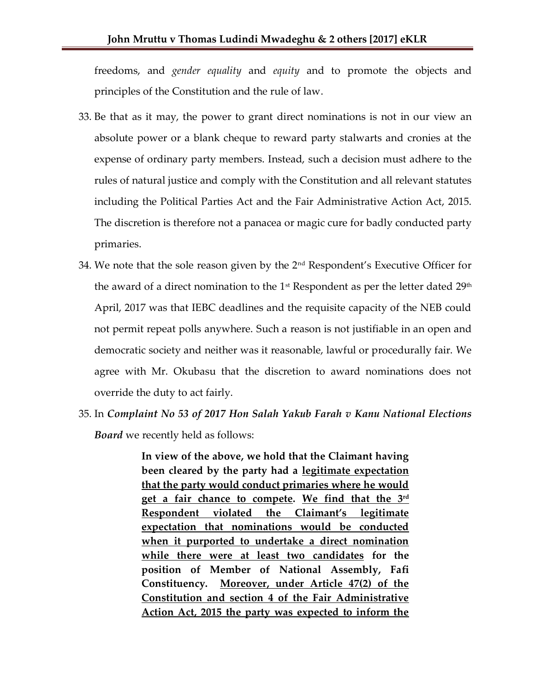freedoms, and *gender equality* and *equity* and to promote the objects and principles of the Constitution and the rule of law.

- 33. Be that as it may, the power to grant direct nominations is not in our view an absolute power or a blank cheque to reward party stalwarts and cronies at the expense of ordinary party members. Instead, such a decision must adhere to the rules of natural justice and comply with the Constitution and all relevant statutes including the Political Parties Act and the Fair Administrative Action Act, 2015. The discretion is therefore not a panacea or magic cure for badly conducted party primaries.
- 34. We note that the sole reason given by the  $2<sup>nd</sup>$  Respondent's Executive Officer for the award of a direct nomination to the 1<sup>st</sup> Respondent as per the letter dated 29<sup>th</sup> April, 2017 was that IEBC deadlines and the requisite capacity of the NEB could not permit repeat polls anywhere. Such a reason is not justifiable in an open and democratic society and neither was it reasonable, lawful or procedurally fair. We agree with Mr. Okubasu that the discretion to award nominations does not override the duty to act fairly.
- 35. In *Complaint No 53 of 2017 Hon Salah Yakub Farah v Kanu National Elections Board* we recently held as follows:

**In view of the above, we hold that the Claimant having been cleared by the party had a legitimate expectation that the party would conduct primaries where he would get a fair chance to compete. We find that the 3rd Respondent violated the Claimant's legitimate expectation that nominations would be conducted when it purported to undertake a direct nomination while there were at least two candidates for the position of Member of National Assembly, Fafi Constituency. Moreover, under Article 47(2) of the Constitution and section 4 of the Fair Administrative Action Act, 2015 the party was expected to inform the**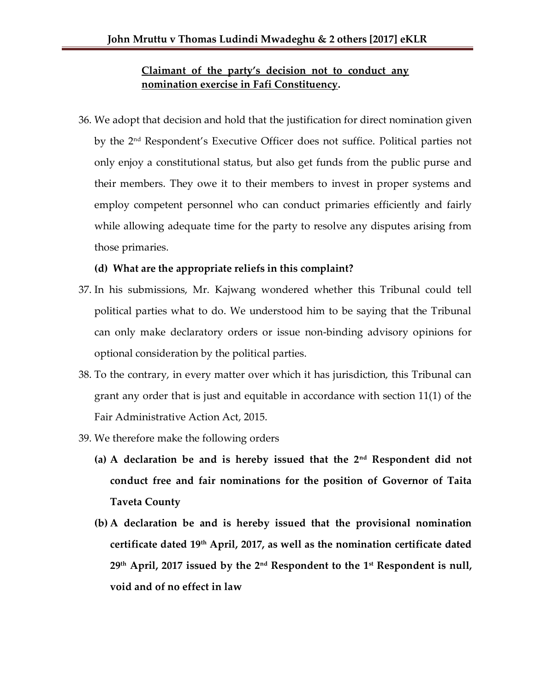## **Claimant of the party's decision not to conduct any nomination exercise in Fafi Constituency.**

36. We adopt that decision and hold that the justification for direct nomination given by the 2nd Respondent's Executive Officer does not suffice. Political parties not only enjoy a constitutional status, but also get funds from the public purse and their members. They owe it to their members to invest in proper systems and employ competent personnel who can conduct primaries efficiently and fairly while allowing adequate time for the party to resolve any disputes arising from those primaries.

### **(d) What are the appropriate reliefs in this complaint?**

- 37. In his submissions, Mr. Kajwang wondered whether this Tribunal could tell political parties what to do. We understood him to be saying that the Tribunal can only make declaratory orders or issue non-binding advisory opinions for optional consideration by the political parties.
- 38. To the contrary, in every matter over which it has jurisdiction, this Tribunal can grant any order that is just and equitable in accordance with section 11(1) of the Fair Administrative Action Act, 2015.
- 39. We therefore make the following orders
	- **(a) A declaration be and is hereby issued that the 2nd Respondent did not conduct free and fair nominations for the position of Governor of Taita Taveta County**
	- **(b) A declaration be and is hereby issued that the provisional nomination certificate dated 19th April, 2017, as well as the nomination certificate dated 29th April, 2017 issued by the 2nd Respondent to the 1st Respondent is null, void and of no effect in law**